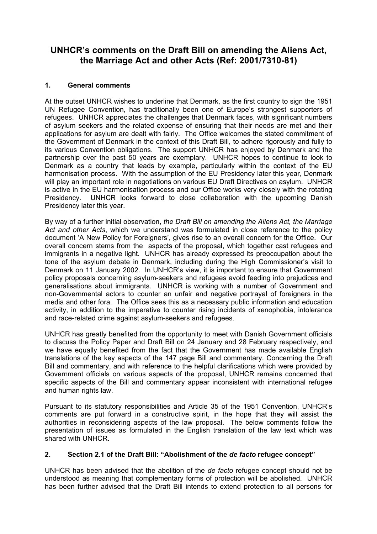# **UNHCR's comments on the Draft Bill on amending the Aliens Act, the Marriage Act and other Acts (Ref: 2001/7310-81)**

# **1. General comments**

At the outset UNHCR wishes to underline that Denmark, as the first country to sign the 1951 UN Refugee Convention, has traditionally been one of Europe's strongest supporters of refugees. UNHCR appreciates the challenges that Denmark faces, with significant numbers of asylum seekers and the related expense of ensuring that their needs are met and their applications for asylum are dealt with fairly. The Office welcomes the stated commitment of the Government of Denmark in the context of this Draft Bill, to adhere rigorously and fully to its various Convention obligations. The support UNHCR has enjoyed by Denmark and the partnership over the past 50 years are exemplary. UNHCR hopes to continue to look to Denmark as a country that leads by example, particularly within the context of the EU harmonisation process. With the assumption of the EU Presidency later this year, Denmark will play an important role in negotiations on various EU Draft Directives on asylum. UNHCR is active in the EU harmonisation process and our Office works very closely with the rotating Presidency. UNHCR looks forward to close collaboration with the upcoming Danish Presidency later this year.

By way of a further initial observation, *the Draft Bill on amending the Aliens Act, the Marriage Act and other Acts*, which we understand was formulated in close reference to the policy document 'A New Policy for Foreigners', gives rise to an overall concern for the Office. Our overall concern stems from the aspects of the proposal, which together cast refugees and immigrants in a negative light. UNHCR has already expressed its preoccupation about the tone of the asylum debate in Denmark, including during the High Commissioner's visit to Denmark on 11 January 2002. In UNHCR's view, it is important to ensure that Government policy proposals concerning asylum-seekers and refugees avoid feeding into prejudices and generalisations about immigrants. UNHCR is working with a number of Government and non-Governmental actors to counter an unfair and negative portrayal of foreigners in the media and other fora. The Office sees this as a necessary public information and education activity, in addition to the imperative to counter rising incidents of xenophobia, intolerance and race-related crime against asylum-seekers and refugees.

UNHCR has greatly benefited from the opportunity to meet with Danish Government officials to discuss the Policy Paper and Draft Bill on 24 January and 28 February respectively, and we have equally benefited from the fact that the Government has made available English translations of the key aspects of the 147 page Bill and commentary. Concerning the Draft Bill and commentary, and with reference to the helpful clarifications which were provided by Government officials on various aspects of the proposal, UNHCR remains concerned that specific aspects of the Bill and commentary appear inconsistent with international refugee and human rights law.

Pursuant to its statutory responsibilities and Article 35 of the 1951 Convention, UNHCR's comments are put forward in a constructive spirit, in the hope that they will assist the authorities in reconsidering aspects of the law proposal. The below comments follow the presentation of issues as formulated in the English translation of the law text which was shared with UNHCR.

### **2. Section 2.1 of the Draft Bill: "Abolishment of the** *de facto* **refugee concept"**

UNHCR has been advised that the abolition of the *de facto* refugee concept should not be understood as meaning that complementary forms of protection will be abolished. UNHCR has been further advised that the Draft Bill intends to extend protection to all persons for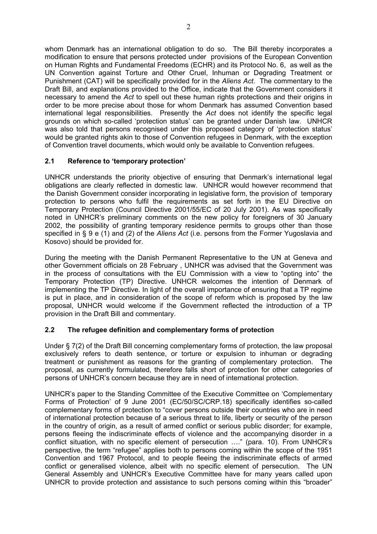whom Denmark has an international obligation to do so. The Bill thereby incorporates a modification to ensure that persons protected under provisions of the European Convention on Human Rights and Fundamental Freedoms (ECHR) and its Protocol No. 6, as well as the UN Convention against Torture and Other Cruel, Inhuman or Degrading Treatment or Punishment (CAT) will be specifically provided for in the *Aliens Act*. The commentary to the Draft Bill, and explanations provided to the Office, indicate that the Government considers it necessary to amend the *Act* to spell out these human rights protections and their origins in order to be more precise about those for whom Denmark has assumed Convention based international legal responsibilities. Presently the *Act* does not identify the specific legal grounds on which so-called 'protection status' can be granted under Danish law. UNHCR was also told that persons recognised under this proposed category of 'protection status' would be granted rights akin to those of Convention refugees in Denmark, with the exception of Convention travel documents, which would only be available to Convention refugees.

# **2.1 Reference to 'temporary protection'**

UNHCR understands the priority objective of ensuring that Denmark's international legal obligations are clearly reflected in domestic law. UNHCR would however recommend that the Danish Government consider incorporating in legislative form, the provision of temporary protection to persons who fulfil the requirements as set forth in the EU Directive on Temporary Protection (Council Directive 2001/55/EC of 20 July 2001). As was specifically noted in UNHCR's preliminary comments on the new policy for foreigners of 30 January 2002, the possibility of granting temporary residence permits to groups other than those specified in § 9 e (1) and (2) of the *Aliens Act* (i.e. persons from the Former Yugoslavia and Kosovo) should be provided for.

During the meeting with the Danish Permanent Representative to the UN at Geneva and other Government officials on 28 February , UNHCR was advised that the Government was in the process of consultations with the EU Commission with a view to "opting into" the Temporary Protection (TP) Directive. UNHCR welcomes the intention of Denmark of implementing the TP Directive. In light of the overall importance of ensuring that a TP regime is put in place, and in consideration of the scope of reform which is proposed by the law proposal, UNHCR would welcome if the Government reflected the introduction of a TP provision in the Draft Bill and commentary.

# **2.2 The refugee definition and complementary forms of protection**

Under § 7(2) of the Draft Bill concerning complementary forms of protection, the law proposal exclusively refers to death sentence, or torture or expulsion to inhuman or degrading treatment or punishment as reasons for the granting of complementary protection. The proposal, as currently formulated, therefore falls short of protection for other categories of persons of UNHCR's concern because they are in need of international protection.

UNHCR's paper to the Standing Committee of the Executive Committee on 'Complementary Forms of Protection' of 9 June 2001 (EC/50/SC/CRP.18) specifically identifies so-called complementary forms of protection to "cover persons outside their countries who are in need of international protection because of a serious threat to life, liberty or security of the person in the country of origin, as a result of armed conflict or serious public disorder; for example, persons fleeing the indiscriminate effects of violence and the accompanying disorder in a conflict situation, with no specific element of persecution …." (para. 10). From UNHCR's perspective, the term "refugee" applies both to persons coming within the scope of the 1951 Convention and 1967 Protocol, and to people fleeing the indiscriminate effects of armed conflict or generalised violence, albeit with no specific element of persecution. The UN General Assembly and UNHCR's Executive Committee have for many years called upon UNHCR to provide protection and assistance to such persons coming within this "broader"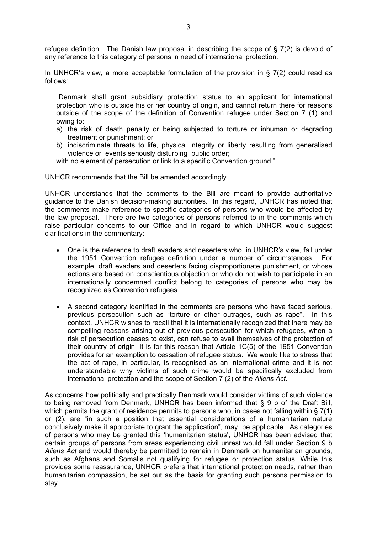refugee definition. The Danish law proposal in describing the scope of  $\S$  7(2) is devoid of any reference to this category of persons in need of international protection.

In UNHCR's view, a more acceptable formulation of the provision in  $\S$  7(2) could read as follows:

"Denmark shall grant subsidiary protection status to an applicant for international protection who is outside his or her country of origin, and cannot return there for reasons outside of the scope of the definition of Convention refugee under Section 7 (1) and owing to:

- a) the risk of death penalty or being subjected to torture or inhuman or degrading treatment or punishment; or
- b) indiscriminate threats to life, physical integrity or liberty resulting from generalised violence or events seriously disturbing public order;

with no element of persecution or link to a specific Convention ground."

UNHCR recommends that the Bill be amended accordingly.

UNHCR understands that the comments to the Bill are meant to provide authoritative guidance to the Danish decision-making authorities. In this regard, UNHCR has noted that the comments make reference to specific categories of persons who would be affected by the law proposal. There are two categories of persons referred to in the comments which raise particular concerns to our Office and in regard to which UNHCR would suggest clarifications in the commentary:

- One is the reference to draft evaders and deserters who, in UNHCR's view, fall under the 1951 Convention refugee definition under a number of circumstances. For example, draft evaders and deserters facing disproportionate punishment, or whose actions are based on conscientious objection or who do not wish to participate in an internationally condemned conflict belong to categories of persons who may be recognized as Convention refugees.
- A second category identified in the comments are persons who have faced serious, previous persecution such as "torture or other outrages, such as rape". In this context, UNHCR wishes to recall that it is internationally recognized that there may be compelling reasons arising out of previous persecution for which refugees, when a risk of persecution ceases to exist, can refuse to avail themselves of the protection of their country of origin. It is for this reason that Article 1C(5) of the 1951 Convention provides for an exemption to cessation of refugee status. We would like to stress that the act of rape, in particular, is recognised as an international crime and it is not understandable why victims of such crime would be specifically excluded from international protection and the scope of Section 7 (2) of the *Aliens Act*.

As concerns how politically and practically Denmark would consider victims of such violence to being removed from Denmark, UNHCR has been informed that § 9 b of the Draft Bill, which permits the grant of residence permits to persons who, in cases not falling within § 7(1) or (2), are "in such a position that essential considerations of a humanitarian nature conclusively make it appropriate to grant the application", may be applicable. As categories of persons who may be granted this 'humanitarian status', UNHCR has been advised that certain groups of persons from areas experiencing civil unrest would fall under Section 9 b *Aliens Act* and would thereby be permitted to remain in Denmark on humanitarian grounds, such as Afghans and Somalis not qualifying for refugee or protection status. While this provides some reassurance, UNHCR prefers that international protection needs, rather than humanitarian compassion, be set out as the basis for granting such persons permission to stay.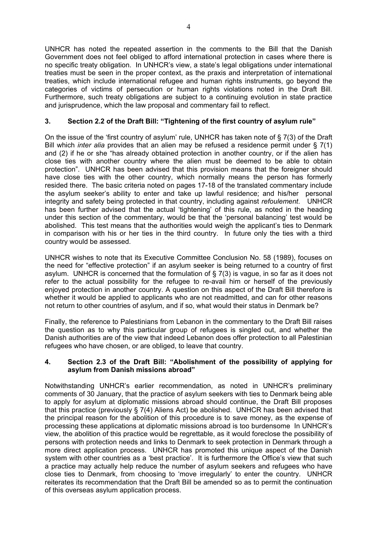UNHCR has noted the repeated assertion in the comments to the Bill that the Danish Government does not feel obliged to afford international protection in cases where there is no specific treaty obligation. In UNHCR's view, a state's legal obligations under international treaties must be seen in the proper context, as the praxis and interpretation of international treaties, which include international refugee and human rights instruments, go beyond the categories of victims of persecution or human rights violations noted in the Draft Bill. Furthermore, such treaty obligations are subject to a continuing evolution in state practice and jurisprudence, which the law proposal and commentary fail to reflect.

# **3. Section 2.2 of the Draft Bill: "Tightening of the first country of asylum rule"**

On the issue of the 'first country of asylum' rule, UNHCR has taken note of § 7(3) of the Draft Bill which *inter alia* provides that an alien may be refused a residence permit under § 7(1) and (2) if he or she "has already obtained protection in another country, or if the alien has close ties with another country where the alien must be deemed to be able to obtain protection". UNHCR has been advised that this provision means that the foreigner should have close ties with the other country, which normally means the person has formerly resided there. The basic criteria noted on pages 17-18 of the translated commentary include the asylum seeker's ability to enter and take up lawful residence; and his/her personal integrity and safety being protected in that country, including against *refoulement*. UNHCR has been further advised that the actual 'tightening' of this rule, as noted in the heading under this section of the commentary, would be that the 'personal balancing' test would be abolished. This test means that the authorities would weigh the applicant's ties to Denmark in comparison with his or her ties in the third country. In future only the ties with a third country would be assessed.

UNHCR wishes to note that its Executive Committee Conclusion No. 58 (1989), focuses on the need for "effective protection" if an asylum seeker is being returned to a country of first asylum. UNHCR is concerned that the formulation of § 7(3) is vague, in so far as it does not refer to the actual possibility for the refugee to re-avail him or herself of the previously enjoyed protection in another country. A question on this aspect of the Draft Bill therefore is whether it would be applied to applicants who are not readmitted, and can for other reasons not return to other countries of asylum, and if so, what would their status in Denmark be?

Finally, the reference to Palestinians from Lebanon in the commentary to the Draft Bill raises the question as to why this particular group of refugees is singled out, and whether the Danish authorities are of the view that indeed Lebanon does offer protection to all Palestinian refugees who have chosen, or are obliged, to leave that country.

### **4. Section 2.3 of the Draft Bill: "Abolishment of the possibility of applying for asylum from Danish missions abroad"**

Notwithstanding UNHCR's earlier recommendation, as noted in UNHCR's preliminary comments of 30 January, that the practice of asylum seekers with ties to Denmark being able to apply for asylum at diplomatic missions abroad should continue, the Draft Bill proposes that this practice (previously § 7(4) Aliens Act) be abolished. UNHCR has been advised that the principal reason for the abolition of this procedure is to save money, as the expense of processing these applications at diplomatic missions abroad is too burdensome In UNHCR's view, the abolition of this practice would be regrettable, as it would foreclose the possibility of persons with protection needs and links to Denmark to seek protection in Denmark through a more direct application process. UNHCR has promoted this unique aspect of the Danish system with other countries as a 'best practice'. It is furthermore the Office's view that such a practice may actually help reduce the number of asylum seekers and refugees who have close ties to Denmark, from choosing to 'move irregularly' to enter the country. UNHCR reiterates its recommendation that the Draft Bill be amended so as to permit the continuation of this overseas asylum application process.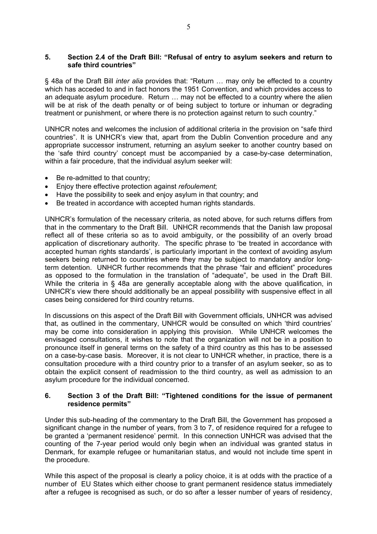#### **5. Section 2.4 of the Draft Bill: "Refusal of entry to asylum seekers and return to safe third countries"**

§ 48a of the Draft Bill *inter alia* provides that: "Return … may only be effected to a country which has acceded to and in fact honors the 1951 Convention, and which provides access to an adequate asylum procedure. Return … may not be effected to a country where the alien will be at risk of the death penalty or of being subject to torture or inhuman or degrading treatment or punishment, or where there is no protection against return to such country."

UNHCR notes and welcomes the inclusion of additional criteria in the provision on "safe third countries". It is UNHCR's view that, apart from the Dublin Convention procedure and any appropriate successor instrument, returning an asylum seeker to another country based on the 'safe third country' concept must be accompanied by a case-by-case determination, within a fair procedure, that the individual asylum seeker will:

- Be re-admitted to that country;
- Enjoy there effective protection against *refoulement*;
- Have the possibility to seek and enjoy asylum in that country; and
- Be treated in accordance with accepted human rights standards.

UNHCR's formulation of the necessary criteria, as noted above, for such returns differs from that in the commentary to the Draft Bill. UNHCR recommends that the Danish law proposal reflect all of these criteria so as to avoid ambiguity, or the possibility of an overly broad application of discretionary authority. The specific phrase to 'be treated in accordance with accepted human rights standards', is particularly important in the context of avoiding asylum seekers being returned to countries where they may be subject to mandatory and/or longterm detention. UNHCR further recommends that the phrase "fair and efficient" procedures as opposed to the formulation in the translation of "adequate", be used in the Draft Bill. While the criteria in § 48a are generally acceptable along with the above qualification, in UNHCR's view there should additionally be an appeal possibility with suspensive effect in all cases being considered for third country returns.

In discussions on this aspect of the Draft Bill with Government officials, UNHCR was advised that, as outlined in the commentary, UNHCR would be consulted on which 'third countries' may be come into consideration in applying this provision. While UNHCR welcomes the envisaged consultations, it wishes to note that the organization will not be in a position to pronounce itself in general terms on the safety of a third country as this has to be assessed on a case-by-case basis. Moreover, it is not clear to UNHCR whether, in practice, there is a consultation procedure with a third country prior to a transfer of an asylum seeker, so as to obtain the explicit consent of readmission to the third country, as well as admission to an asylum procedure for the individual concerned.

#### **6. Section 3 of the Draft Bill: "Tightened conditions for the issue of permanent residence permits"**

Under this sub-heading of the commentary to the Draft Bill, the Government has proposed a significant change in the number of years, from 3 to 7, of residence required for a refugee to be granted a 'permanent residence' permit. In this connection UNHCR was advised that the counting of the 7-year period would only begin when an individual was granted status in Denmark, for example refugee or humanitarian status, and would not include time spent in the procedure.

While this aspect of the proposal is clearly a policy choice, it is at odds with the practice of a number of EU States which either choose to grant permanent residence status immediately after a refugee is recognised as such, or do so after a lesser number of years of residency,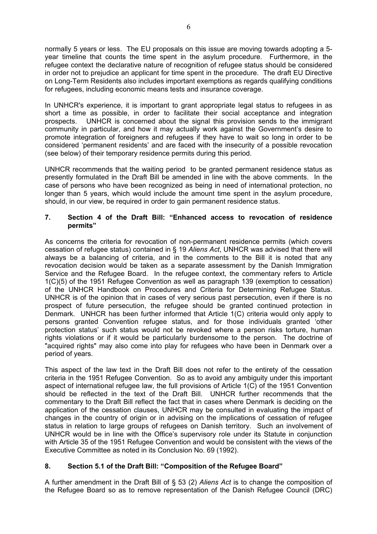normally 5 years or less. The EU proposals on this issue are moving towards adopting a 5 year timeline that counts the time spent in the asylum procedure. Furthermore, in the refugee context the declarative nature of recognition of refugee status should be considered in order not to prejudice an applicant for time spent in the procedure. The draft EU Directive on Long-Term Residents also includes important exemptions as regards qualifying conditions for refugees, including economic means tests and insurance coverage.

In UNHCR's experience, it is important to grant appropriate legal status to refugees in as short a time as possible, in order to facilitate their social acceptance and integration prospects. UNHCR is concerned about the signal this provision sends to the immigrant community in particular, and how it may actually work against the Government's desire to promote integration of foreigners and refugees if they have to wait so long in order to be considered 'permanent residents' and are faced with the insecurity of a possible revocation (see below) of their temporary residence permits during this period.

UNHCR recommends that the waiting period to be granted permanent residence status as presently formulated in the Draft Bill be amended in line with the above comments. In the case of persons who have been recognized as being in need of international protection, no longer than 5 years, which would include the amount time spent in the asylum procedure, should, in our view, be required in order to gain permanent residence status.

### **7. Section 4 of the Draft Bill: "Enhanced access to revocation of residence permits"**

As concerns the criteria for revocation of non-permanent residence permits (which covers cessation of refugee status) contained in § 19 *Aliens Act*, UNHCR was advised that there will always be a balancing of criteria, and in the comments to the Bill it is noted that any revocation decision would be taken as a separate assessment by the Danish Immigration Service and the Refugee Board. In the refugee context, the commentary refers to Article 1(C)(5) of the 1951 Refugee Convention as well as paragraph 139 (exemption to cessation) of the UNHCR Handbook on Procedures and Criteria for Determining Refugee Status. UNHCR is of the opinion that in cases of very serious past persecution, even if there is no prospect of future persecution, the refugee should be granted continued protection in Denmark. UNHCR has been further informed that Article 1(C) criteria would only apply to persons granted Convention refugee status, and for those individuals granted 'other protection status' such status would not be revoked where a person risks torture, human rights violations or if it would be particularly burdensome to the person. The doctrine of "acquired rights" may also come into play for refugees who have been in Denmark over a period of years.

This aspect of the law text in the Draft Bill does not refer to the entirety of the cessation criteria in the 1951 Refugee Convention. So as to avoid any ambiguity under this important aspect of international refugee law, the full provisions of Article 1(C) of the 1951 Convention should be reflected in the text of the Draft Bill. UNHCR further recommends that the commentary to the Draft Bill reflect the fact that in cases where Denmark is deciding on the application of the cessation clauses, UNHCR may be consulted in evaluating the impact of changes in the country of origin or in advising on the implications of cessation of refugee status in relation to large groups of refugees on Danish territory. Such an involvement of UNHCR would be in line with the Office's supervisory role under its Statute in conjunction with Article 35 of the 1951 Refugee Convention and would be consistent with the views of the Executive Committee as noted in its Conclusion No. 69 (1992).

# **8. Section 5.1 of the Draft Bill: "Composition of the Refugee Board"**

A further amendment in the Draft Bill of § 53 (2) *Aliens Act* is to change the composition of the Refugee Board so as to remove representation of the Danish Refugee Council (DRC)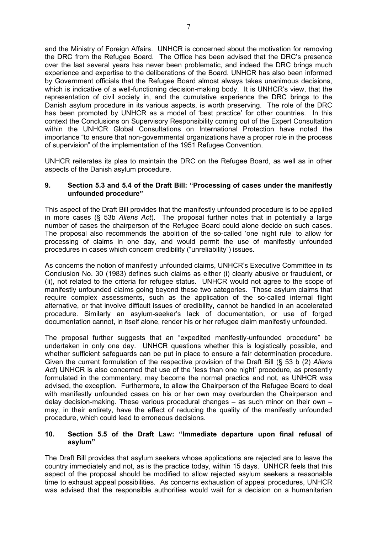and the Ministry of Foreign Affairs. UNHCR is concerned about the motivation for removing the DRC from the Refugee Board. The Office has been advised that the DRC's presence over the last several years has never been problematic, and indeed the DRC brings much experience and expertise to the deliberations of the Board. UNHCR has also been informed by Government officials that the Refugee Board almost always takes unanimous decisions, which is indicative of a well-functioning decision-making body. It is UNHCR's view, that the representation of civil society in, and the cumulative experience the DRC brings to the Danish asylum procedure in its various aspects, is worth preserving. The role of the DRC has been promoted by UNHCR as a model of 'best practice' for other countries. In this context the Conclusions on Supervisory Responsibility coming out of the Expert Consultation within the UNHCR Global Consultations on International Protection have noted the importance "to ensure that non-governmental organizations have a proper role in the process of supervision" of the implementation of the 1951 Refugee Convention.

UNHCR reiterates its plea to maintain the DRC on the Refugee Board, as well as in other aspects of the Danish asylum procedure.

#### **9. Section 5.3 and 5.4 of the Draft Bill: "Processing of cases under the manifestly unfounded procedure"**

This aspect of the Draft Bill provides that the manifestly unfounded procedure is to be applied in more cases (§ 53b *Aliens Act*). The proposal further notes that in potentially a large number of cases the chairperson of the Refugee Board could alone decide on such cases. The proposal also recommends the abolition of the so-called 'one night rule' to allow for processing of claims in one day, and would permit the use of manifestly unfounded procedures in cases which concern credibility ("unreliability") issues.

As concerns the notion of manifestly unfounded claims, UNHCR's Executive Committee in its Conclusion No. 30 (1983) defines such claims as either (i) clearly abusive or fraudulent, or (ii), not related to the criteria for refugee status. UNHCR would not agree to the scope of manifestly unfounded claims going beyond these two categories. Those asylum claims that require complex assessments, such as the application of the so-called internal flight alternative, or that involve difficult issues of credibility, cannot be handled in an accelerated procedure. Similarly an asylum-seeker's lack of documentation, or use of forged documentation cannot, in itself alone, render his or her refugee claim manifestly unfounded.

The proposal further suggests that an "expedited manifestly-unfounded procedure" be undertaken in only one day. UNHCR questions whether this is logistically possible, and whether sufficient safeguards can be put in place to ensure a fair determination procedure. Given the current formulation of the respective provision of the Draft Bill (§ 53 b (2) *Aliens*  Act) UNHCR is also concerned that use of the 'less than one night' procedure, as presently formulated in the commentary, may become the normal practice and not, as UNHCR was advised, the exception. Furthermore, to allow the Chairperson of the Refugee Board to deal with manifestly unfounded cases on his or her own may overburden the Chairperson and delay decision-making. These various procedural changes – as such minor on their own – may, in their entirety, have the effect of reducing the quality of the manifestly unfounded procedure, which could lead to erroneous decisions.

#### **10. Section 5.5 of the Draft Law: "Immediate departure upon final refusal of asylum"**

The Draft Bill provides that asylum seekers whose applications are rejected are to leave the country immediately and not, as is the practice today, within 15 days. UNHCR feels that this aspect of the proposal should be modified to allow rejected asylum seekers a reasonable time to exhaust appeal possibilities. As concerns exhaustion of appeal procedures, UNHCR was advised that the responsible authorities would wait for a decision on a humanitarian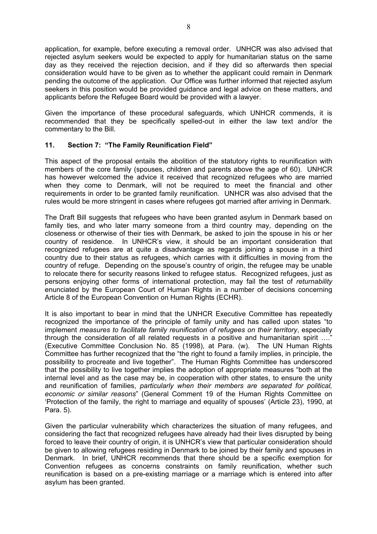application, for example, before executing a removal order. UNHCR was also advised that rejected asylum seekers would be expected to apply for humanitarian status on the same day as they received the rejection decision, and if they did so afterwards then special consideration would have to be given as to whether the applicant could remain in Denmark pending the outcome of the application. Our Office was further informed that rejected asylum seekers in this position would be provided guidance and legal advice on these matters, and applicants before the Refugee Board would be provided with a lawyer.

Given the importance of these procedural safeguards, which UNHCR commends, it is recommended that they be specifically spelled-out in either the law text and/or the commentary to the Bill.

# **11. Section 7: "The Family Reunification Field"**

This aspect of the proposal entails the abolition of the statutory rights to reunification with members of the core family (spouses, children and parents above the age of 60). UNHCR has however welcomed the advice it received that recognized refugees who are married when they come to Denmark, will not be required to meet the financial and other requirements in order to be granted family reunification. UNHCR was also advised that the rules would be more stringent in cases where refugees got married after arriving in Denmark.

The Draft Bill suggests that refugees who have been granted asylum in Denmark based on family ties, and who later marry someone from a third country may, depending on the closeness or otherwise of their ties with Denmark, be asked to join the spouse in his or her country of residence. In UNHCR's view, it should be an important consideration that recognized refugees are at quite a disadvantage as regards joining a spouse in a third country due to their status as refugees, which carries with it difficulties in moving from the country of refuge. Depending on the spouse's country of origin, the refugee may be unable to relocate there for security reasons linked to refugee status. Recognized refugees, just as persons enjoying other forms of international protection, may fail the test of *returnability* enunciated by the European Court of Human Rights in a number of decisions concerning Article 8 of the European Convention on Human Rights (ECHR).

It is also important to bear in mind that the UNHCR Executive Committee has repeatedly recognized the importance of the principle of family unity and has called upon states "to implement *measures to facilitate family reunification of refugees on their territory*, especially through the consideration of all related requests in a positive and humanitarian spirit …." (Executive Committee Conclusion No. 85 (1998), at Para. (w). The UN Human Rights Committee has further recognized that the "the right to found a family implies, in principle, the possibility to procreate and live together". The Human Rights Committee has underscored that the possibility to live together implies the adoption of appropriate measures "both at the internal level and as the case may be, in cooperation with other states, to ensure the unity and reunification of families, *particularly when their members are separated for political, economic or similar reasons*" (General Comment 19 of the Human Rights Committee on 'Protection of the family, the right to marriage and equality of spouses' (Article 23), 1990, at Para. 5).

Given the particular vulnerability which characterizes the situation of many refugees, and considering the fact that recognized refugees have already had their lives disrupted by being forced to leave their country of origin, it is UNHCR's view that particular consideration should be given to allowing refugees residing in Denmark to be joined by their family and spouses in Denmark. In brief, UNHCR recommends that there should be a specific exemption for Convention refugees as concerns constraints on family reunification, whether such reunification is based on a pre-existing marriage or a marriage which is entered into after asylum has been granted.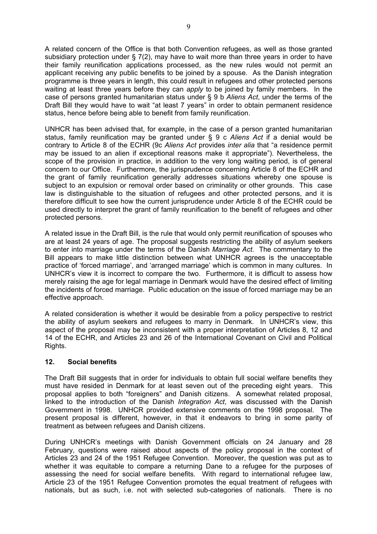A related concern of the Office is that both Convention refugees, as well as those granted subsidiary protection under § 7(2), may have to wait more than three years in order to have their family reunification applications processed, as the new rules would not permit an applicant receiving any public benefits to be joined by a spouse. As the Danish integration programme is three years in length, this could result in refugees and other protected persons waiting at least three years before they can *apply* to be joined by family members. In the case of persons granted humanitarian status under § 9 b *Aliens Act*, under the terms of the Draft Bill they would have to wait "at least 7 years" in order to obtain permanent residence status, hence before being able to benefit from family reunification.

UNHCR has been advised that, for example, in the case of a person granted humanitarian status, family reunification may be granted under § 9 c *Aliens Act* if a denial would be contrary to Article 8 of the ECHR (9c *Aliens Act* provides *inter alia* that "a residence permit may be issued to an alien if exceptional reasons make it appropriate"). Nevertheless, the scope of the provision in practice, in addition to the very long waiting period, is of general concern to our Office. Furthermore, the jurisprudence concerning Article 8 of the ECHR and the grant of family reunification generally addresses situations whereby one spouse is subject to an expulsion or removal order based on criminality or other grounds. This case law is distinguishable to the situation of refugees and other protected persons, and it is therefore difficult to see how the current jurisprudence under Article 8 of the ECHR could be used directly to interpret the grant of family reunification to the benefit of refugees and other protected persons.

A related issue in the Draft Bill, is the rule that would only permit reunification of spouses who are at least 24 years of age. The proposal suggests restricting the ability of asylum seekers to enter into marriage under the terms of the Danish *Marriage Act*. The commentary to the Bill appears to make little distinction between what UNHCR agrees is the unacceptable practice of 'forced marriage', and 'arranged marriage' which is common in many cultures.In UNHCR's view it is incorrect to compare the two. Furthermore, it is difficult to assess how merely raising the age for legal marriage in Denmark would have the desired effect of limiting the incidents of forced marriage. Public education on the issue of forced marriage may be an effective approach.

A related consideration is whether it would be desirable from a policy perspective to restrict the ability of asylum seekers and refugees to marry in Denmark. In UNHCR's view, this aspect of the proposal may be inconsistent with a proper interpretation of Articles 8, 12 and 14 of the ECHR, and Articles 23 and 26 of the International Covenant on Civil and Political Rights.

### **12. Social benefits**

The Draft Bill suggests that in order for individuals to obtain full social welfare benefits they must have resided in Denmark for at least seven out of the preceding eight years. This proposal applies to both "foreigners" and Danish citizens. A somewhat related proposal, linked to the introduction of the Danish *Integration Act*, was discussed with the Danish Government in 1998. UNHCR provided extensive comments on the 1998 proposal. The present proposal is different, however, in that it endeavors to bring in some parity of treatment as between refugees and Danish citizens.

During UNHCR's meetings with Danish Government officials on 24 January and 28 February, questions were raised about aspects of the policy proposal in the context of Articles 23 and 24 of the 1951 Refugee Convention. Moreover, the question was put as to whether it was equitable to compare a returning Dane to a refugee for the purposes of assessing the need for social welfare benefits. With regard to international refugee law, Article 23 of the 1951 Refugee Convention promotes the equal treatment of refugees with nationals, but as such, i.e. not with selected sub-categories of nationals. There is no